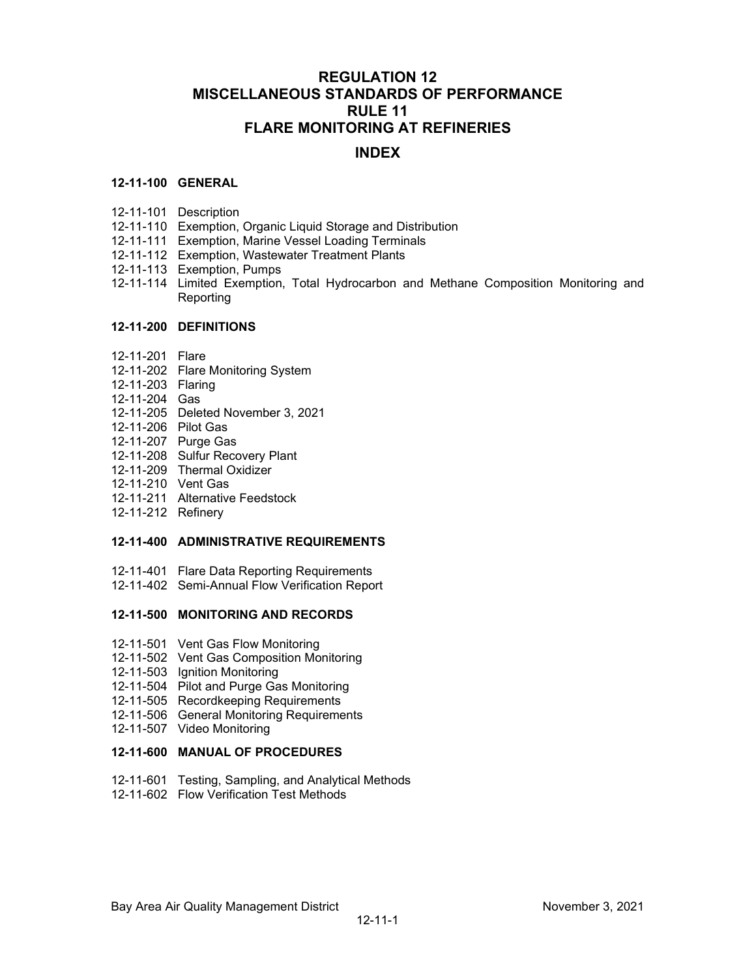# **REGULATION 12 MISCELLANEOUS STANDARDS OF PERFORMANCE RULE 11 FLARE MONITORING AT REFINERIES**

# **INDEX**

### **12-11-100 GENERAL**

- 12-11-101 Description
- 12-11-110 Exemption, Organic Liquid Storage and Distribution
- 12-11-111 Exemption, Marine Vessel Loading Terminals
- 12-11-112 Exemption, Wastewater Treatment Plants
- 12-11-113 Exemption, Pumps
- 12-11-114 Limited Exemption, Total Hydrocarbon and Methane Composition Monitoring and **Reporting**

### **12-11-200 DEFINITIONS**

- 12-11-201 Flare
- 12-11-202 Flare Monitoring System
- 12-11-203 Flaring
- 12-11-204 Gas
- 12-11-205 Deleted November 3, 2021
- 12-11-206 Pilot Gas
- 12-11-207 Purge Gas
- 12-11-208 Sulfur Recovery Plant
- 12-11-209 Thermal Oxidizer
- 12-11-210 Vent Gas
- 12-11-211 Alternative Feedstock
- 12-11-212 Refinery

### **12-11-400 ADMINISTRATIVE REQUIREMENTS**

- 12-11-401 Flare Data Reporting Requirements
- 12-11-402 Semi-Annual Flow Verification Report

### **12-11-500 MONITORING AND RECORDS**

- 12-11-501 Vent Gas Flow Monitoring
- 12-11-502 Vent Gas Composition Monitoring
- 12-11-503 Ignition Monitoring
- 12-11-504 Pilot and Purge Gas Monitoring
- 12-11-505 Recordkeeping Requirements
- 12-11-506 General Monitoring Requirements
- 12-11-507 Video Monitoring

## **12-11-600 MANUAL OF PROCEDURES**

- 12-11-601 Testing, Sampling, and Analytical Methods
- 12-11-602 Flow Verification Test Methods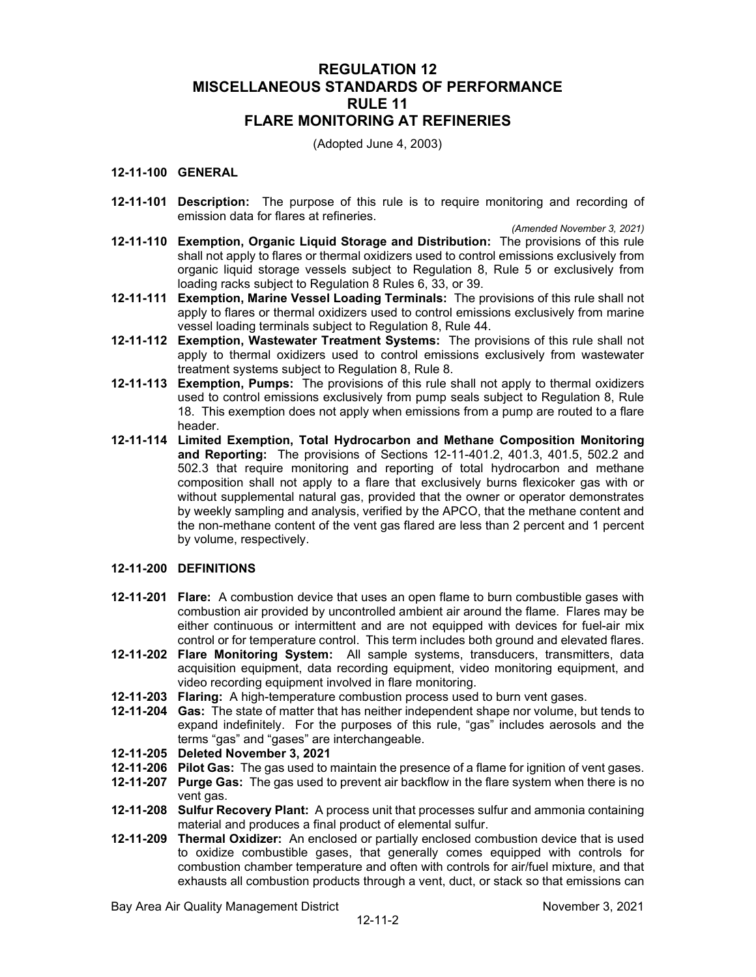# **REGULATION 12 MISCELLANEOUS STANDARDS OF PERFORMANCE RULE 11 FLARE MONITORING AT REFINERIES**

(Adopted June 4, 2003)

## **12-11-100 GENERAL**

**12-11-101 Description:** The purpose of this rule is to require monitoring and recording of emission data for flares at refineries.

*(Amended November 3, 2021)*

- **12-11-110 Exemption, Organic Liquid Storage and Distribution:** The provisions of this rule shall not apply to flares or thermal oxidizers used to control emissions exclusively from organic liquid storage vessels subject to Regulation 8, Rule 5 or exclusively from loading racks subject to Regulation 8 Rules 6, 33, or 39.
- **12-11-111 Exemption, Marine Vessel Loading Terminals:** The provisions of this rule shall not apply to flares or thermal oxidizers used to control emissions exclusively from marine vessel loading terminals subject to Regulation 8, Rule 44.
- **12-11-112 Exemption, Wastewater Treatment Systems:** The provisions of this rule shall not apply to thermal oxidizers used to control emissions exclusively from wastewater treatment systems subject to Regulation 8, Rule 8.
- **12-11-113 Exemption, Pumps:** The provisions of this rule shall not apply to thermal oxidizers used to control emissions exclusively from pump seals subject to Regulation 8, Rule 18. This exemption does not apply when emissions from a pump are routed to a flare header.
- **12-11-114 Limited Exemption, Total Hydrocarbon and Methane Composition Monitoring and Reporting:** The provisions of Sections 12-11-401.2, 401.3, 401.5, 502.2 and 502.3 that require monitoring and reporting of total hydrocarbon and methane composition shall not apply to a flare that exclusively burns flexicoker gas with or without supplemental natural gas, provided that the owner or operator demonstrates by weekly sampling and analysis, verified by the APCO, that the methane content and the non-methane content of the vent gas flared are less than 2 percent and 1 percent by volume, respectively.

### **12-11-200 DEFINITIONS**

- **12-11-201 Flare:** A combustion device that uses an open flame to burn combustible gases with combustion air provided by uncontrolled ambient air around the flame. Flares may be either continuous or intermittent and are not equipped with devices for fuel-air mix control or for temperature control. This term includes both ground and elevated flares.
- **12-11-202 Flare Monitoring System:** All sample systems, transducers, transmitters, data acquisition equipment, data recording equipment, video monitoring equipment, and video recording equipment involved in flare monitoring.
- **12-11-203 Flaring:** A high-temperature combustion process used to burn vent gases.
- **12-11-204 Gas:** The state of matter that has neither independent shape nor volume, but tends to expand indefinitely.For the purposes of this rule, "gas" includes aerosols and the terms "gas" and "gases" are interchangeable.
- **12-11-205 Deleted November 3, 2021**
- **12-11-206 Pilot Gas:** The gas used to maintain the presence of a flame for ignition of vent gases.
- **12-11-207 Purge Gas:** The gas used to prevent air backflow in the flare system when there is no vent gas.
- **12-11-208 Sulfur Recovery Plant:** A process unit that processes sulfur and ammonia containing material and produces a final product of elemental sulfur.
- **12-11-209 Thermal Oxidizer:** An enclosed or partially enclosed combustion device that is used to oxidize combustible gases, that generally comes equipped with controls for combustion chamber temperature and often with controls for air/fuel mixture, and that exhausts all combustion products through a vent, duct, or stack so that emissions can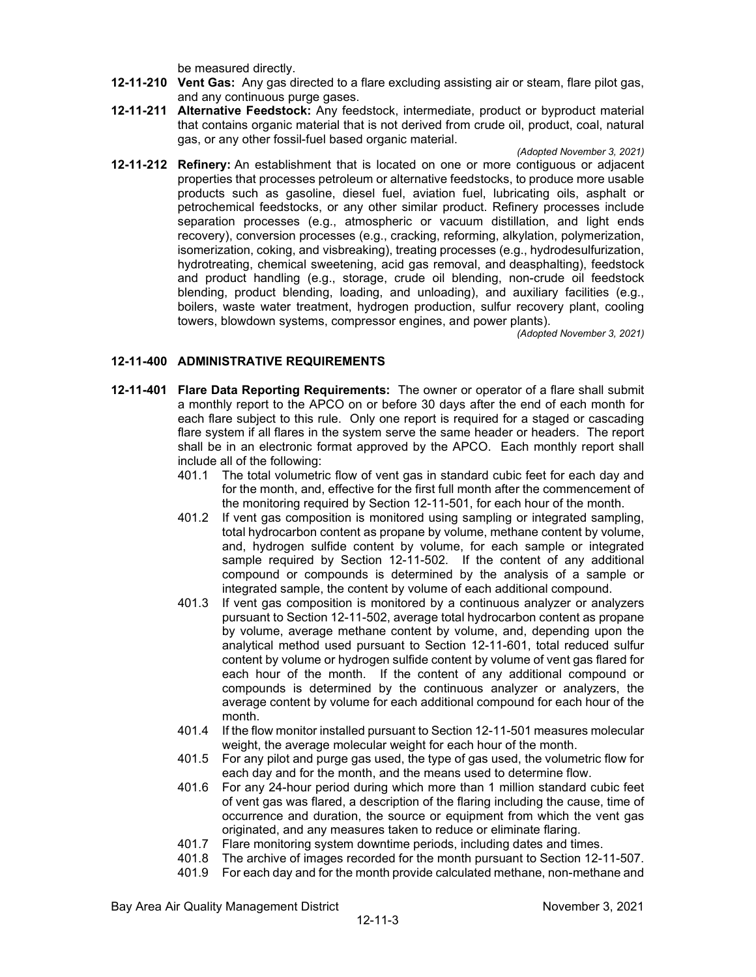be measured directly.

- **12-11-210 Vent Gas:** Any gas directed to a flare excluding assisting air or steam, flare pilot gas, and any continuous purge gases.
- **12-11-211 Alternative Feedstock:** Any feedstock, intermediate, product or byproduct material that contains organic material that is not derived from crude oil, product, coal, natural gas, or any other fossil-fuel based organic material.
- *(Adopted November 3, 2021)* **12-11-212 Refinery:** An establishment that is located on one or more contiguous or adjacent properties that processes petroleum or alternative feedstocks, to produce more usable products such as gasoline, diesel fuel, aviation fuel, lubricating oils, asphalt or petrochemical feedstocks, or any other similar product. Refinery processes include separation processes (e.g., atmospheric or vacuum distillation, and light ends recovery), conversion processes (e.g., cracking, reforming, alkylation, polymerization, isomerization, coking, and visbreaking), treating processes (e.g., hydrodesulfurization, hydrotreating, chemical sweetening, acid gas removal, and deasphalting), feedstock and product handling (e.g., storage, crude oil blending, non-crude oil feedstock blending, product blending, loading, and unloading), and auxiliary facilities (e.g., boilers, waste water treatment, hydrogen production, sulfur recovery plant, cooling towers, blowdown systems, compressor engines, and power plants).

*(Adopted November 3, 2021)*

### **12-11-400 ADMINISTRATIVE REQUIREMENTS**

- **12-11-401 Flare Data Reporting Requirements:** The owner or operator of a flare shall submit a monthly report to the APCO on or before 30 days after the end of each month for each flare subject to this rule. Only one report is required for a staged or cascading flare system if all flares in the system serve the same header or headers. The report shall be in an electronic format approved by the APCO. Each monthly report shall include all of the following:
	- 401.1 The total volumetric flow of vent gas in standard cubic feet for each day and for the month, and, effective for the first full month after the commencement of the monitoring required by Section 12-11-501, for each hour of the month.
	- 401.2 If vent gas composition is monitored using sampling or integrated sampling, total hydrocarbon content as propane by volume, methane content by volume, and, hydrogen sulfide content by volume, for each sample or integrated sample required by Section 12-11-502. If the content of any additional compound or compounds is determined by the analysis of a sample or integrated sample, the content by volume of each additional compound.
	- 401.3 If vent gas composition is monitored by a continuous analyzer or analyzers pursuant to Section 12-11-502, average total hydrocarbon content as propane by volume, average methane content by volume, and, depending upon the analytical method used pursuant to Section 12-11-601, total reduced sulfur content by volume or hydrogen sulfide content by volume of vent gas flared for each hour of the month. If the content of any additional compound or compounds is determined by the continuous analyzer or analyzers, the average content by volume for each additional compound for each hour of the month.
	- 401.4 If the flow monitor installed pursuant to Section 12-11-501 measures molecular weight, the average molecular weight for each hour of the month.
	- 401.5 For any pilot and purge gas used, the type of gas used, the volumetric flow for each day and for the month, and the means used to determine flow.
	- 401.6 For any 24-hour period during which more than 1 million standard cubic feet of vent gas was flared, a description of the flaring including the cause, time of occurrence and duration, the source or equipment from which the vent gas originated, and any measures taken to reduce or eliminate flaring.
	- 401.7 Flare monitoring system downtime periods, including dates and times.
	- 401.8 The archive of images recorded for the month pursuant to Section 12-11-507.
	- 401.9 For each day and for the month provide calculated methane, non-methane and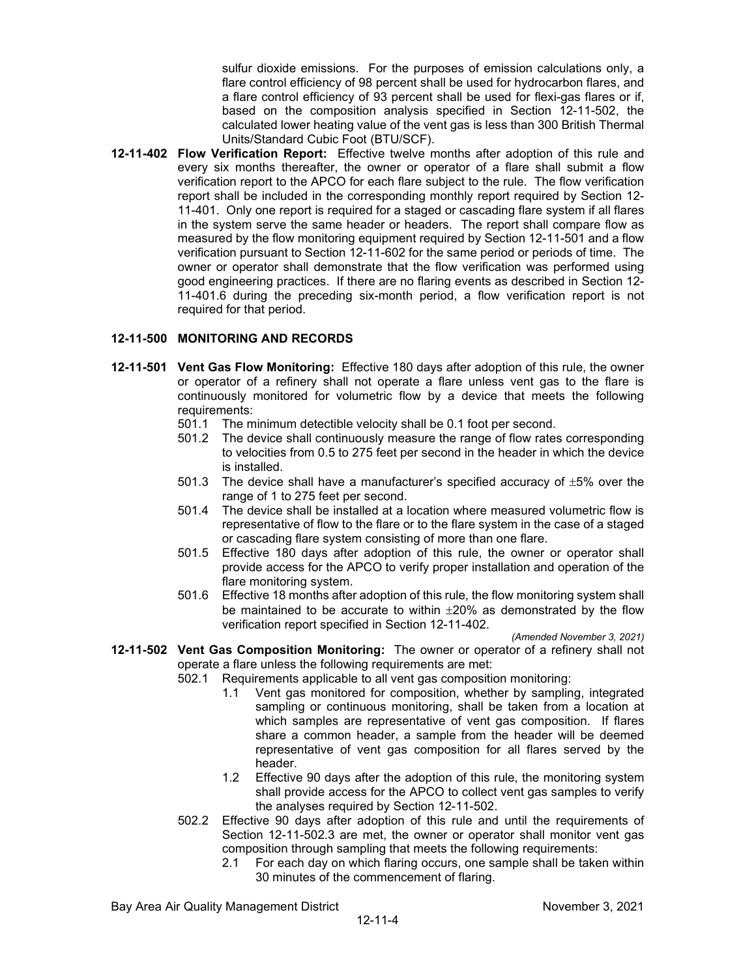sulfur dioxide emissions. For the purposes of emission calculations only, a flare control efficiency of 98 percent shall be used for hydrocarbon flares, and a flare control efficiency of 93 percent shall be used for flexi-gas flares or if, based on the composition analysis specified in Section 12-11-502, the calculated lower heating value of the vent gas is less than 300 British Thermal Units/Standard Cubic Foot (BTU/SCF).

**12-11-402 Flow Verification Report:** Effective twelve months after adoption of this rule and every six months thereafter, the owner or operator of a flare shall submit a flow verification report to the APCO for each flare subject to the rule. The flow verification report shall be included in the corresponding monthly report required by Section 12- 11-401. Only one report is required for a staged or cascading flare system if all flares in the system serve the same header or headers. The report shall compare flow as measured by the flow monitoring equipment required by Section 12-11-501 and a flow verification pursuant to Section 12-11-602 for the same period or periods of time. The owner or operator shall demonstrate that the flow verification was performed using good engineering practices. If there are no flaring events as described in Section 12- 11-401.6 during the preceding six-month period, a flow verification report is not required for that period.

### **12-11-500 MONITORING AND RECORDS**

- **12-11-501 Vent Gas Flow Monitoring:** Effective 180 days after adoption of this rule, the owner or operator of a refinery shall not operate a flare unless vent gas to the flare is continuously monitored for volumetric flow by a device that meets the following requirements:
	- 501.1 The minimum detectible velocity shall be 0.1 foot per second.
	- 501.2 The device shall continuously measure the range of flow rates corresponding to velocities from 0.5 to 275 feet per second in the header in which the device is installed.
	- 501.3 The device shall have a manufacturer's specified accuracy of  $\pm 5\%$  over the range of 1 to 275 feet per second.
	- 501.4 The device shall be installed at a location where measured volumetric flow is representative of flow to the flare or to the flare system in the case of a staged or cascading flare system consisting of more than one flare.
	- 501.5 Effective 180 days after adoption of this rule, the owner or operator shall provide access for the APCO to verify proper installation and operation of the flare monitoring system.
	- 501.6 Effective 18 months after adoption of this rule, the flow monitoring system shall be maintained to be accurate to within ±20% as demonstrated by the flow verification report specified in Section 12-11-402.

*(Amended November 3, 2021)*

**12-11-502 Vent Gas Composition Monitoring:** The owner or operator of a refinery shall not operate a flare unless the following requirements are met:

502.1 Requirements applicable to all vent gas composition monitoring:

- 1.1 Vent gas monitored for composition, whether by sampling, integrated sampling or continuous monitoring, shall be taken from a location at which samples are representative of vent gas composition. If flares share a common header, a sample from the header will be deemed representative of vent gas composition for all flares served by the header.
- 1.2 Effective 90 days after the adoption of this rule, the monitoring system shall provide access for the APCO to collect vent gas samples to verify the analyses required by Section 12-11-502.
- 502.2 Effective 90 days after adoption of this rule and until the requirements of Section 12-11-502.3 are met, the owner or operator shall monitor vent gas composition through sampling that meets the following requirements:
	- 2.1 For each day on which flaring occurs, one sample shall be taken within 30 minutes of the commencement of flaring.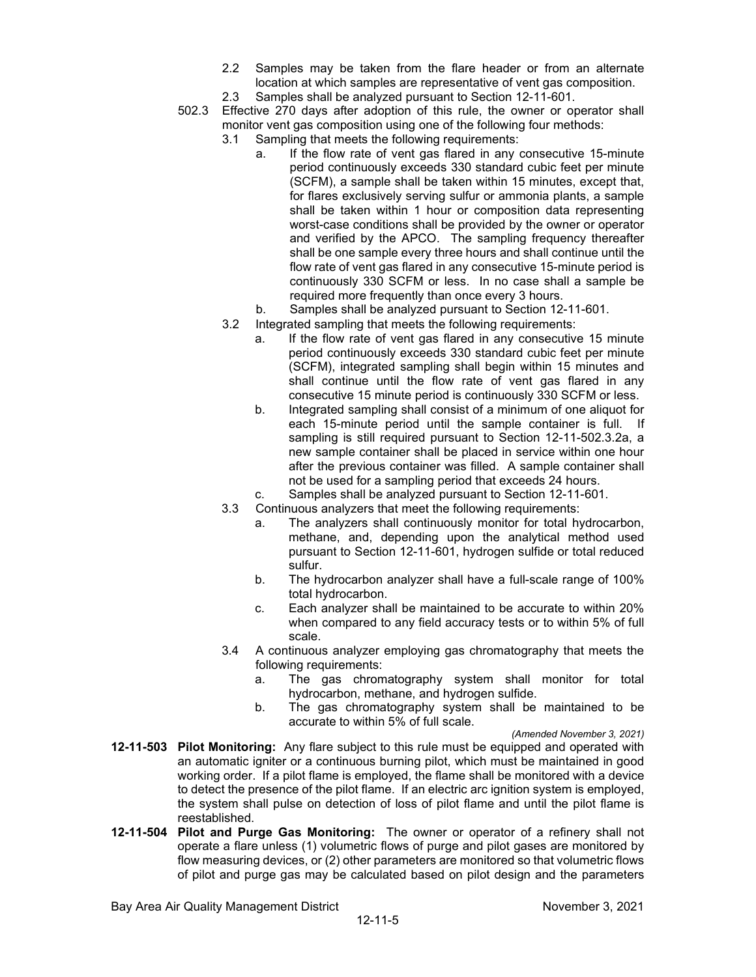- 2.2 Samples may be taken from the flare header or from an alternate location at which samples are representative of vent gas composition.
- 2.3 Samples shall be analyzed pursuant to Section 12-11-601.
- 502.3 Effective 270 days after adoption of this rule, the owner or operator shall monitor vent gas composition using one of the following four methods:
	- 3.1 Sampling that meets the following requirements:
		- a. If the flow rate of vent gas flared in any consecutive 15-minute period continuously exceeds 330 standard cubic feet per minute (SCFM), a sample shall be taken within 15 minutes, except that, for flares exclusively serving sulfur or ammonia plants, a sample shall be taken within 1 hour or composition data representing worst-case conditions shall be provided by the owner or operator and verified by the APCO. The sampling frequency thereafter shall be one sample every three hours and shall continue until the flow rate of vent gas flared in any consecutive 15-minute period is continuously 330 SCFM or less. In no case shall a sample be required more frequently than once every 3 hours.
		- b. Samples shall be analyzed pursuant to Section 12-11-601.
	- 3.2 Integrated sampling that meets the following requirements:
		- a. If the flow rate of vent gas flared in any consecutive 15 minute period continuously exceeds 330 standard cubic feet per minute (SCFM), integrated sampling shall begin within 15 minutes and shall continue until the flow rate of vent gas flared in any consecutive 15 minute period is continuously 330 SCFM or less.
		- b. Integrated sampling shall consist of a minimum of one aliquot for each 15-minute period until the sample container is full. If sampling is still required pursuant to Section 12-11-502.3.2a, a new sample container shall be placed in service within one hour after the previous container was filled. A sample container shall not be used for a sampling period that exceeds 24 hours.
		- c. Samples shall be analyzed pursuant to Section 12-11-601.
	- 3.3 Continuous analyzers that meet the following requirements:
		- a. The analyzers shall continuously monitor for total hydrocarbon, methane, and, depending upon the analytical method used pursuant to Section 12-11-601, hydrogen sulfide or total reduced sulfur.
		- b. The hydrocarbon analyzer shall have a full-scale range of 100% total hydrocarbon.
		- c. Each analyzer shall be maintained to be accurate to within 20% when compared to any field accuracy tests or to within 5% of full scale.
	- 3.4 A continuous analyzer employing gas chromatography that meets the following requirements:
		- a. The gas chromatography system shall monitor for total hydrocarbon, methane, and hydrogen sulfide.
		- b. The gas chromatography system shall be maintained to be accurate to within 5% of full scale.

*(Amended November 3, 2021)*

- **12-11-503 Pilot Monitoring:** Any flare subject to this rule must be equipped and operated with an automatic igniter or a continuous burning pilot, which must be maintained in good working order. If a pilot flame is employed, the flame shall be monitored with a device to detect the presence of the pilot flame. If an electric arc ignition system is employed, the system shall pulse on detection of loss of pilot flame and until the pilot flame is reestablished.
- **12-11-504 Pilot and Purge Gas Monitoring:** The owner or operator of a refinery shall not operate a flare unless (1) volumetric flows of purge and pilot gases are monitored by flow measuring devices, or (2) other parameters are monitored so that volumetric flows of pilot and purge gas may be calculated based on pilot design and the parameters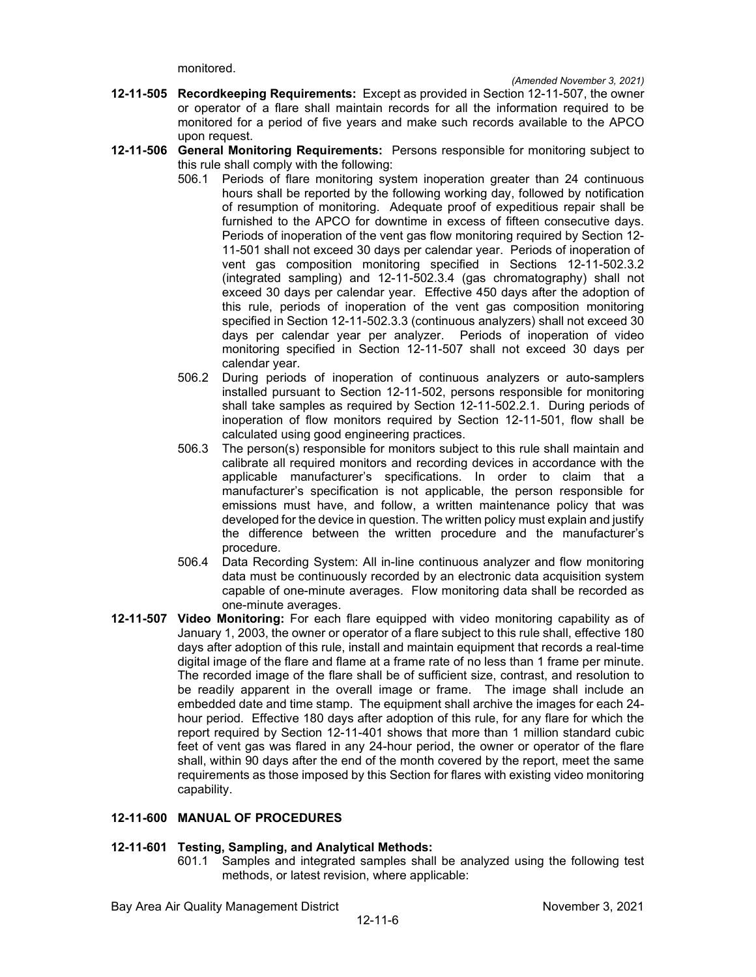monitored.

- **12-11-505 Recordkeeping Requirements:** Except as provided in Section 12-11-507, the owner or operator of a flare shall maintain records for all the information required to be monitored for a period of five years and make such records available to the APCO upon request.
- **12-11-506 General Monitoring Requirements:** Persons responsible for monitoring subject to this rule shall comply with the following:
	- 506.1 Periods of flare monitoring system inoperation greater than 24 continuous hours shall be reported by the following working day, followed by notification of resumption of monitoring. Adequate proof of expeditious repair shall be furnished to the APCO for downtime in excess of fifteen consecutive days. Periods of inoperation of the vent gas flow monitoring required by Section 12- 11-501 shall not exceed 30 days per calendar year. Periods of inoperation of vent gas composition monitoring specified in Sections 12-11-502.3.2 (integrated sampling) and 12-11-502.3.4 (gas chromatography) shall not exceed 30 days per calendar year. Effective 450 days after the adoption of this rule, periods of inoperation of the vent gas composition monitoring specified in Section 12-11-502.3.3 (continuous analyzers) shall not exceed 30 days per calendar year per analyzer. Periods of inoperation of video monitoring specified in Section 12-11-507 shall not exceed 30 days per calendar year.
	- 506.2 During periods of inoperation of continuous analyzers or auto-samplers installed pursuant to Section 12-11-502, persons responsible for monitoring shall take samples as required by Section 12-11-502.2.1. During periods of inoperation of flow monitors required by Section 12-11-501, flow shall be calculated using good engineering practices.
	- 506.3 The person(s) responsible for monitors subject to this rule shall maintain and calibrate all required monitors and recording devices in accordance with the applicable manufacturer's specifications. In order to claim that a manufacturer's specification is not applicable, the person responsible for emissions must have, and follow, a written maintenance policy that was developed for the device in question. The written policy must explain and justify the difference between the written procedure and the manufacturer's procedure.
	- 506.4 Data Recording System: All in-line continuous analyzer and flow monitoring data must be continuously recorded by an electronic data acquisition system capable of one-minute averages. Flow monitoring data shall be recorded as one-minute averages.
- **12-11-507 Video Monitoring:** For each flare equipped with video monitoring capability as of January 1, 2003, the owner or operator of a flare subject to this rule shall, effective 180 days after adoption of this rule, install and maintain equipment that records a real-time digital image of the flare and flame at a frame rate of no less than 1 frame per minute. The recorded image of the flare shall be of sufficient size, contrast, and resolution to be readily apparent in the overall image or frame. The image shall include an embedded date and time stamp. The equipment shall archive the images for each 24 hour period. Effective 180 days after adoption of this rule, for any flare for which the report required by Section 12-11-401 shows that more than 1 million standard cubic feet of vent gas was flared in any 24-hour period, the owner or operator of the flare shall, within 90 days after the end of the month covered by the report, meet the same requirements as those imposed by this Section for flares with existing video monitoring capability.

### **12-11-600 MANUAL OF PROCEDURES**

### **12-11-601 Testing, Sampling, and Analytical Methods:**

601.1 Samples and integrated samples shall be analyzed using the following test methods, or latest revision, where applicable: